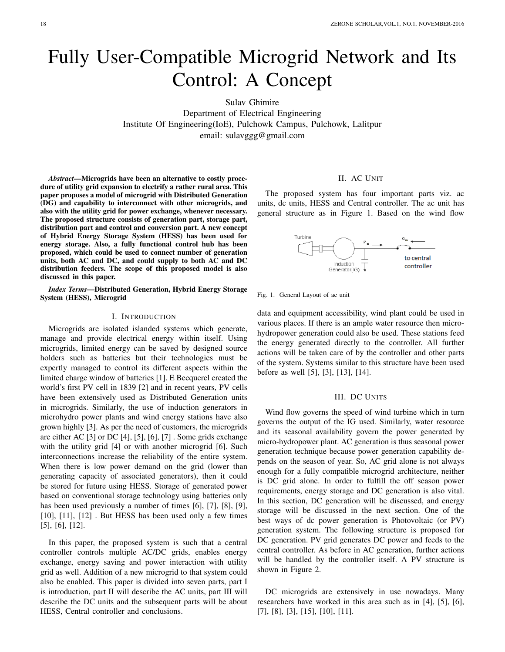# Fully User-Compatible Microgrid Network and Its Control: A Concept

Sulav Ghimire Department of Electrical Engineering Institute Of Engineering(IoE), Pulchowk Campus, Pulchowk, Lalitpur email: sulavggg@gmail.com

*Abstract*—Microgrids have been an alternative to costly procedure of utility grid expansion to electrify a rather rural area. This paper proposes a model of microgrid with Distributed Generation (DG) and capability to interconnect with other microgrids, and also with the utility grid for power exchange, whenever necessary. The proposed structure consists of generation part, storage part, distribution part and control and conversion part. A new concept of Hybrid Energy Storage System (HESS) has been used for energy storage. Also, a fully functional control hub has been proposed, which could be used to connect number of generation units, both AC and DC, and could supply to both AC and DC distribution feeders. The scope of this proposed model is also discussed in this paper.

*Index Terms*—Distributed Generation, Hybrid Energy Storage System (HESS), Microgrid

#### I. INTRODUCTION

Microgrids are isolated islanded systems which generate, manage and provide electrical energy within itself. Using microgrids, limited energy can be saved by designed source holders such as batteries but their technologies must be expertly managed to control its different aspects within the limited charge window of batteries [1]. E Becquerel created the world's first PV cell in 1839 [2] and in recent years, PV cells have been extensively used as Distributed Generation units in microgrids. Similarly, the use of induction generators in microhydro power plants and wind energy stations have also grown highly [3]. As per the need of customers, the microgrids are either AC [3] or DC [4], [5], [6], [7] . Some grids exchange with the utility grid [4] or with another microgrid [6]. Such interconnections increase the reliability of the entire system. When there is low power demand on the grid (lower than generating capacity of associated generators), then it could be stored for future using HESS. Storage of generated power based on conventional storage technology using batteries only has been used previously a number of times [6], [7], [8], [9], [10], [11], [12]. But HESS has been used only a few times [5], [6], [12].

In this paper, the proposed system is such that a central controller controls multiple AC/DC grids, enables energy exchange, energy saving and power interaction with utility grid as well. Addition of a new microgrid to that system could also be enabled. This paper is divided into seven parts, part I is introduction, part II will describe the AC units, part III will describe the DC units and the subsequent parts will be about HESS, Central controller and conclusions.

# II. AC UNIT

The proposed system has four important parts viz. ac units, dc units, HESS and Central controller. The ac unit has general structure as in Figure 1. Based on the wind flow





data and equipment accessibility, wind plant could be used in various places. If there is an ample water resource then microhydropower generation could also be used. These stations feed the energy generated directly to the controller. All further actions will be taken care of by the controller and other parts of the system. Systems similar to this structure have been used before as well [5], [3], [13], [14].

## III. DC UNITS

Wind flow governs the speed of wind turbine which in turn governs the output of the IG used. Similarly, water resource and its seasonal availability govern the power generated by micro-hydropower plant. AC generation is thus seasonal power generation technique because power generation capability depends on the season of year. So, AC grid alone is not always enough for a fully compatible microgrid architecture, neither is DC grid alone. In order to fulfill the off season power requirements, energy storage and DC generation is also vital. In this section, DC generation will be discussed, and energy storage will be discussed in the next section. One of the best ways of dc power generation is Photovoltaic (or PV) generation system. The following structure is proposed for DC generation. PV grid generates DC power and feeds to the central controller. As before in AC generation, further actions will be handled by the controller itself. A PV structure is shown in Figure 2.

DC microgrids are extensively in use nowadays. Many researchers have worked in this area such as in [4], [5], [6], [7], [8], [3], [15], [10], [11].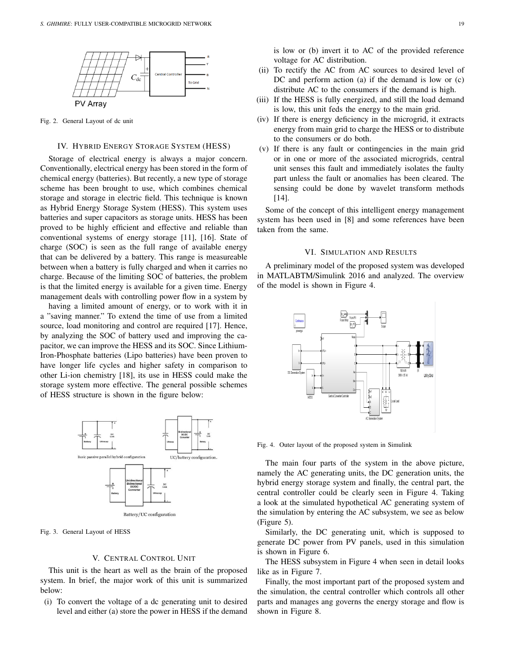

Fig. 2. General Layout of dc unit

## IV. HYBRID ENERGY STORAGE SYSTEM (HESS)

Storage of electrical energy is always a major concern. Conventionally, electrical energy has been stored in the form of chemical energy (batteries). But recently, a new type of storage scheme has been brought to use, which combines chemical storage and storage in electric field. This technique is known as Hybrid Energy Storage System (HESS). This system uses batteries and super capacitors as storage units. HESS has been proved to be highly efficient and effective and reliable than conventional systems of energy storage [11], [16]. State of charge (SOC) is seen as the full range of available energy that can be delivered by a battery. This range is measureable between when a battery is fully charged and when it carries no charge. Because of the limiting SOC of batteries, the problem is that the limited energy is available for a given time. Energy management deals with controlling power flow in a system by

having a limited amount of energy, or to work with it in a "saving manner." To extend the time of use from a limited source, load monitoring and control are required [17]. Hence, by analyzing the SOC of battery used and improving the capacitor, we can improve the HESS and its SOC. Since Lithium-Iron-Phosphate batteries (Lipo batteries) have been proven to have longer life cycles and higher safety in comparison to other Li-ion chemistry [18], its use in HESS could make the storage system more effective. The general possible schemes of HESS structure is shown in the figure below:



Fig. 3. General Layout of HESS

#### V. CENTRAL CONTROL UNIT

This unit is the heart as well as the brain of the proposed system. In brief, the major work of this unit is summarized below:

(i) To convert the voltage of a dc generating unit to desired level and either (a) store the power in HESS if the demand is low or (b) invert it to AC of the provided reference voltage for AC distribution.

- (ii) To rectify the AC from AC sources to desired level of DC and perform action (a) if the demand is low or (c) distribute AC to the consumers if the demand is high.
- (iii) If the HESS is fully energized, and still the load demand is low, this unit feds the energy to the main grid.
- (iv) If there is energy deficiency in the microgrid, it extracts energy from main grid to charge the HESS or to distribute to the consumers or do both.
- (v) If there is any fault or contingencies in the main grid or in one or more of the associated microgrids, central unit senses this fault and immediately isolates the faulty part unless the fault or anomalies has been cleared. The sensing could be done by wavelet transform methods [14].

Some of the concept of this intelligent energy management system has been used in [8] and some references have been taken from the same.

## VI. SIMULATION AND RESULTS

A preliminary model of the proposed system was developed in MATLABTM/Simulink 2016 and analyzed. The overview of the model is shown in Figure 4.



Fig. 4. Outer layout of the proposed system in Simulink

The main four parts of the system in the above picture, namely the AC generating units, the DC generation units, the hybrid energy storage system and finally, the central part, the central controller could be clearly seen in Figure 4. Taking a look at the simulated hypothetical AC generating system of the simulation by entering the AC subsystem, we see as below (Figure 5).

Similarly, the DC generating unit, which is supposed to generate DC power from PV panels, used in this simulation is shown in Figure 6.

The HESS subsystem in Figure 4 when seen in detail looks like as in Figure 7.

Finally, the most important part of the proposed system and the simulation, the central controller which controls all other parts and manages ang governs the energy storage and flow is shown in Figure 8.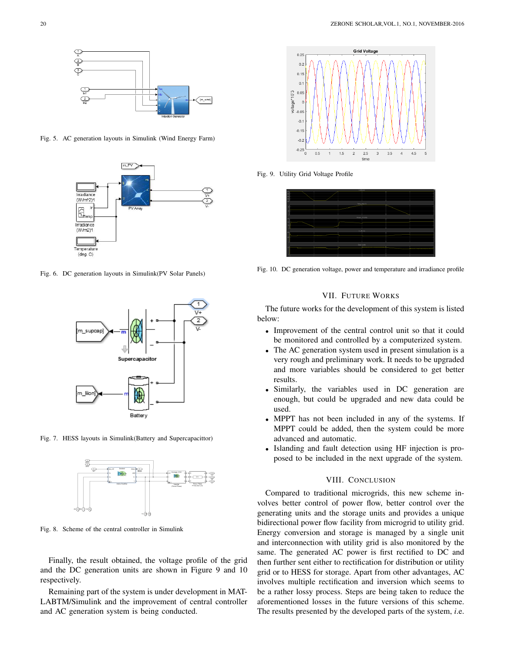

Fig. 5. AC generation layouts in Simulink (Wind Energy Farm)



Fig. 6. DC generation layouts in Simulink(PV Solar Panels)



Fig. 7. HESS layouts in Simulink(Battery and Supercapacittor)



Fig. 8. Scheme of the central controller in Simulink

Finally, the result obtained, the voltage profile of the grid and the DC generation units are shown in Figure 9 and 10 respectively.

Remaining part of the system is under development in MAT-LABTM/Simulink and the improvement of central controller and AC generation system is being conducted.



Fig. 9. Utility Grid Voltage Profile



Fig. 10. DC generation voltage, power and temperature and irradiance profile

## VII. FUTURE WORKS

The future works for the development of this system is listed below:

- Improvement of the central control unit so that it could be monitored and controlled by a computerized system.
- The AC generation system used in present simulation is a very rough and preliminary work. It needs to be upgraded and more variables should be considered to get better results.
- Similarly, the variables used in DC generation are enough, but could be upgraded and new data could be used.
- MPPT has not been included in any of the systems. If MPPT could be added, then the system could be more advanced and automatic.
- Islanding and fault detection using HF injection is proposed to be included in the next upgrade of the system.

## VIII. CONCLUSION

Compared to traditional microgrids, this new scheme involves better control of power flow, better control over the generating units and the storage units and provides a unique bidirectional power flow facility from microgrid to utility grid. Energy conversion and storage is managed by a single unit and interconnection with utility grid is also monitored by the same. The generated AC power is first rectified to DC and then further sent either to rectification for distribution or utility grid or to HESS for storage. Apart from other advantages, AC involves multiple rectification and inversion which seems to be a rather lossy process. Steps are being taken to reduce the aforementioned losses in the future versions of this scheme. The results presented by the developed parts of the system, *i*.e.